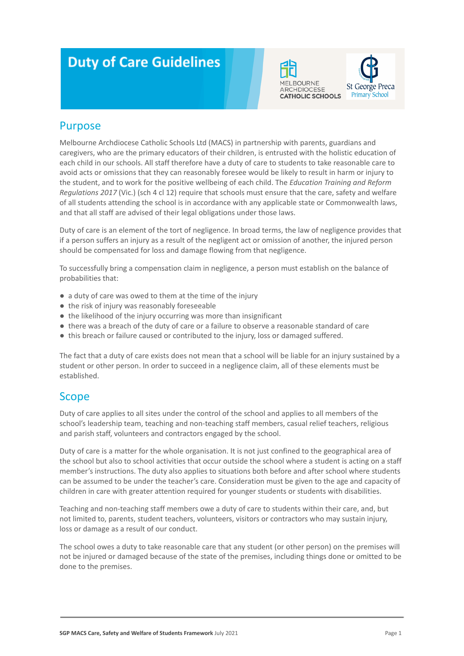# **Duty of Care Guidelines**





### Purpose

Melbourne Archdiocese Catholic Schools Ltd (MACS) in partnership with parents, guardians and caregivers, who are the primary educators of their children, is entrusted with the holistic education of each child in our schools. All staff therefore have a duty of care to students to take reasonable care to avoid acts or omissions that they can reasonably foresee would be likely to result in harm or injury to the student, and to work for the positive wellbeing of each child. The *Education Training and Reform Regulations 2017* (Vic.) (sch 4 cl 12) require that schools must ensure that the care, safety and welfare of all students attending the school is in accordance with any applicable state or Commonwealth laws, and that all staff are advised of their legal obligations under those laws.

Duty of care is an element of the tort of negligence. In broad terms, the law of negligence provides that if a person suffers an injury as a result of the negligent act or omission of another, the injured person should be compensated for loss and damage flowing from that negligence.

To successfully bring a compensation claim in negligence, a person must establish on the balance of probabilities that:

- a duty of care was owed to them at the time of the injury
- the risk of injury was reasonably foreseeable
- the likelihood of the injury occurring was more than insignificant
- there was a breach of the duty of care or a failure to observe a reasonable standard of care
- this breach or failure caused or contributed to the injury, loss or damaged suffered.

The fact that a duty of care exists does not mean that a school will be liable for an injury sustained by a student or other person. In order to succeed in a negligence claim, all of these elements must be established.

#### **Scope**

Duty of care applies to all sites under the control of the school and applies to all members of the school's leadership team, teaching and non-teaching staff members, casual relief teachers, religious and parish staff, volunteers and contractors engaged by the school.

Duty of care is a matter for the whole organisation. It is not just confined to the geographical area of the school but also to school activities that occur outside the school where a student is acting on a staff member's instructions. The duty also applies to situations both before and after school where students can be assumed to be under the teacher's care. Consideration must be given to the age and capacity of children in care with greater attention required for younger students or students with disabilities.

Teaching and non-teaching staff members owe a duty of care to students within their care, and, but not limited to, parents, student teachers, volunteers, visitors or contractors who may sustain injury, loss or damage as a result of our conduct.

The school owes a duty to take reasonable care that any student (or other person) on the premises will not be injured or damaged because of the state of the premises, including things done or omitted to be done to the premises.